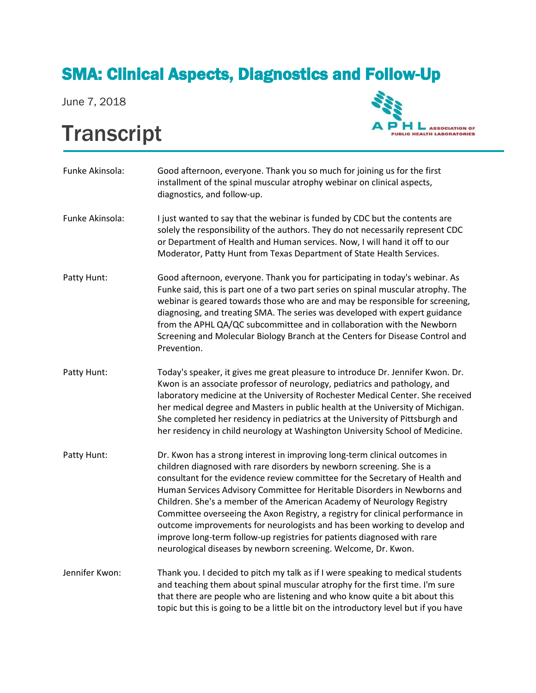## SMA: Clinical Aspects, Diagnostics and Follow-Up

June 7, 2018

## **Transcript**



| Funke Akinsola: | Good afternoon, everyone. Thank you so much for joining us for the first<br>installment of the spinal muscular atrophy webinar on clinical aspects,<br>diagnostics, and follow-up.                                                                                                                                                                                                                                                                                                                                                                                                                                                                                                                     |
|-----------------|--------------------------------------------------------------------------------------------------------------------------------------------------------------------------------------------------------------------------------------------------------------------------------------------------------------------------------------------------------------------------------------------------------------------------------------------------------------------------------------------------------------------------------------------------------------------------------------------------------------------------------------------------------------------------------------------------------|
| Funke Akinsola: | I just wanted to say that the webinar is funded by CDC but the contents are<br>solely the responsibility of the authors. They do not necessarily represent CDC<br>or Department of Health and Human services. Now, I will hand it off to our<br>Moderator, Patty Hunt from Texas Department of State Health Services.                                                                                                                                                                                                                                                                                                                                                                                  |
| Patty Hunt:     | Good afternoon, everyone. Thank you for participating in today's webinar. As<br>Funke said, this is part one of a two part series on spinal muscular atrophy. The<br>webinar is geared towards those who are and may be responsible for screening,<br>diagnosing, and treating SMA. The series was developed with expert guidance<br>from the APHL QA/QC subcommittee and in collaboration with the Newborn<br>Screening and Molecular Biology Branch at the Centers for Disease Control and<br>Prevention.                                                                                                                                                                                            |
| Patty Hunt:     | Today's speaker, it gives me great pleasure to introduce Dr. Jennifer Kwon. Dr.<br>Kwon is an associate professor of neurology, pediatrics and pathology, and<br>laboratory medicine at the University of Rochester Medical Center. She received<br>her medical degree and Masters in public health at the University of Michigan.<br>She completed her residency in pediatrics at the University of Pittsburgh and<br>her residency in child neurology at Washington University School of Medicine.                                                                                                                                                                                                   |
| Patty Hunt:     | Dr. Kwon has a strong interest in improving long-term clinical outcomes in<br>children diagnosed with rare disorders by newborn screening. She is a<br>consultant for the evidence review committee for the Secretary of Health and<br>Human Services Advisory Committee for Heritable Disorders in Newborns and<br>Children. She's a member of the American Academy of Neurology Registry<br>Committee overseeing the Axon Registry, a registry for clinical performance in<br>outcome improvements for neurologists and has been working to develop and<br>improve long-term follow-up registries for patients diagnosed with rare<br>neurological diseases by newborn screening. Welcome, Dr. Kwon. |
| Jennifer Kwon:  | Thank you. I decided to pitch my talk as if I were speaking to medical students<br>and teaching them about spinal muscular atrophy for the first time. I'm sure<br>that there are people who are listening and who know quite a bit about this<br>topic but this is going to be a little bit on the introductory level but if you have                                                                                                                                                                                                                                                                                                                                                                 |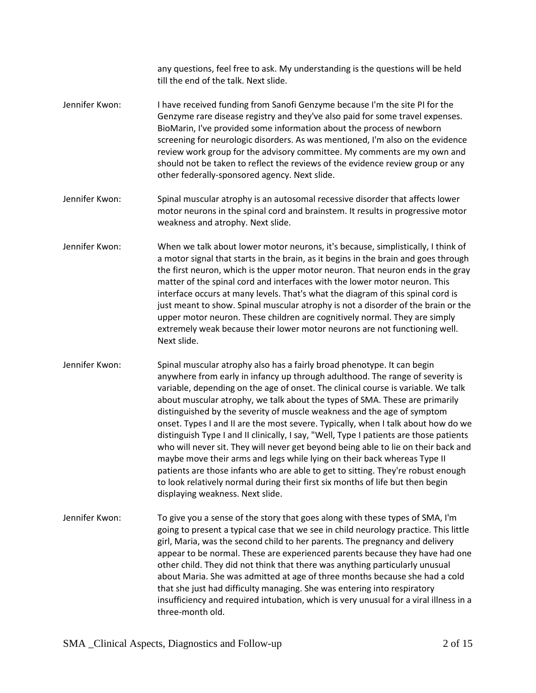any questions, feel free to ask. My understanding is the questions will be held till the end of the talk. Next slide.

- Jennifer Kwon: I have received funding from Sanofi Genzyme because I'm the site PI for the Genzyme rare disease registry and they've also paid for some travel expenses. BioMarin, I've provided some information about the process of newborn screening for neurologic disorders. As was mentioned, I'm also on the evidence review work group for the advisory committee. My comments are my own and should not be taken to reflect the reviews of the evidence review group or any other federally-sponsored agency. Next slide.
- Jennifer Kwon: Spinal muscular atrophy is an autosomal recessive disorder that affects lower motor neurons in the spinal cord and brainstem. It results in progressive motor weakness and atrophy. Next slide.
- Jennifer Kwon: When we talk about lower motor neurons, it's because, simplistically, I think of a motor signal that starts in the brain, as it begins in the brain and goes through the first neuron, which is the upper motor neuron. That neuron ends in the gray matter of the spinal cord and interfaces with the lower motor neuron. This interface occurs at many levels. That's what the diagram of this spinal cord is just meant to show. Spinal muscular atrophy is not a disorder of the brain or the upper motor neuron. These children are cognitively normal. They are simply extremely weak because their lower motor neurons are not functioning well. Next slide.
- Jennifer Kwon: Spinal muscular atrophy also has a fairly broad phenotype. It can begin anywhere from early in infancy up through adulthood. The range of severity is variable, depending on the age of onset. The clinical course is variable. We talk about muscular atrophy, we talk about the types of SMA. These are primarily distinguished by the severity of muscle weakness and the age of symptom onset. Types I and II are the most severe. Typically, when I talk about how do we distinguish Type I and II clinically, I say, "Well, Type I patients are those patients who will never sit. They will never get beyond being able to lie on their back and maybe move their arms and legs while lying on their back whereas Type II patients are those infants who are able to get to sitting. They're robust enough to look relatively normal during their first six months of life but then begin displaying weakness. Next slide.
- Jennifer Kwon: To give you a sense of the story that goes along with these types of SMA, I'm going to present a typical case that we see in child neurology practice. This little girl, Maria, was the second child to her parents. The pregnancy and delivery appear to be normal. These are experienced parents because they have had one other child. They did not think that there was anything particularly unusual about Maria. She was admitted at age of three months because she had a cold that she just had difficulty managing. She was entering into respiratory insufficiency and required intubation, which is very unusual for a viral illness in a three-month old.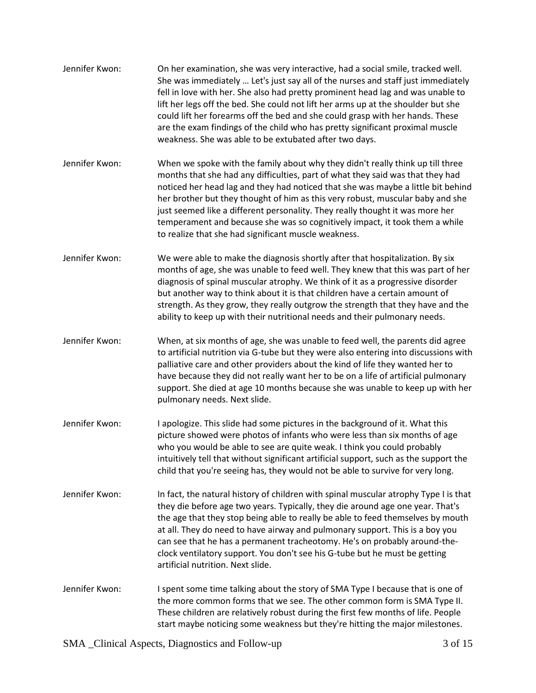| Jennifer Kwon: | On her examination, she was very interactive, had a social smile, tracked well.<br>She was immediately  Let's just say all of the nurses and staff just immediately<br>fell in love with her. She also had pretty prominent head lag and was unable to<br>lift her legs off the bed. She could not lift her arms up at the shoulder but she<br>could lift her forearms off the bed and she could grasp with her hands. These<br>are the exam findings of the child who has pretty significant proximal muscle<br>weakness. She was able to be extubated after two days. |
|----------------|-------------------------------------------------------------------------------------------------------------------------------------------------------------------------------------------------------------------------------------------------------------------------------------------------------------------------------------------------------------------------------------------------------------------------------------------------------------------------------------------------------------------------------------------------------------------------|
| Jennifer Kwon: | When we spoke with the family about why they didn't really think up till three<br>months that she had any difficulties, part of what they said was that they had<br>noticed her head lag and they had noticed that she was maybe a little bit behind<br>her brother but they thought of him as this very robust, muscular baby and she<br>just seemed like a different personality. They really thought it was more her<br>temperament and because she was so cognitively impact, it took them a while<br>to realize that she had significant muscle weakness.          |
| Jennifer Kwon: | We were able to make the diagnosis shortly after that hospitalization. By six<br>months of age, she was unable to feed well. They knew that this was part of her<br>diagnosis of spinal muscular atrophy. We think of it as a progressive disorder<br>but another way to think about it is that children have a certain amount of<br>strength. As they grow, they really outgrow the strength that they have and the<br>ability to keep up with their nutritional needs and their pulmonary needs.                                                                      |
| Jennifer Kwon: | When, at six months of age, she was unable to feed well, the parents did agree<br>to artificial nutrition via G-tube but they were also entering into discussions with<br>palliative care and other providers about the kind of life they wanted her to<br>have because they did not really want her to be on a life of artificial pulmonary<br>support. She died at age 10 months because she was unable to keep up with her<br>pulmonary needs. Next slide.                                                                                                           |
| Jennifer Kwon: | I apologize. This slide had some pictures in the background of it. What this<br>picture showed were photos of infants who were less than six months of age<br>who you would be able to see are quite weak. I think you could probably<br>intuitively tell that without significant artificial support, such as the support the<br>child that you're seeing has, they would not be able to survive for very long.                                                                                                                                                        |
| Jennifer Kwon: | In fact, the natural history of children with spinal muscular atrophy Type I is that<br>they die before age two years. Typically, they die around age one year. That's<br>the age that they stop being able to really be able to feed themselves by mouth<br>at all. They do need to have airway and pulmonary support. This is a boy you<br>can see that he has a permanent tracheotomy. He's on probably around-the-<br>clock ventilatory support. You don't see his G-tube but he must be getting<br>artificial nutrition. Next slide.                               |
| Jennifer Kwon: | I spent some time talking about the story of SMA Type I because that is one of<br>the more common forms that we see. The other common form is SMA Type II.<br>These children are relatively robust during the first few months of life. People<br>start maybe noticing some weakness but they're hitting the major milestones.                                                                                                                                                                                                                                          |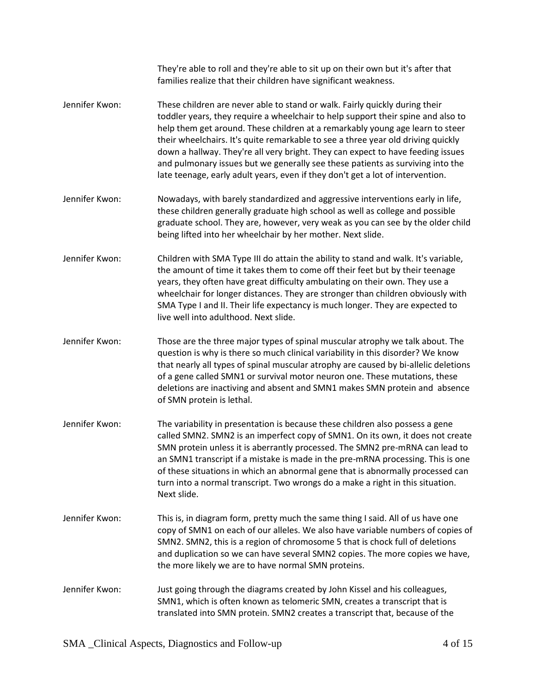|                | They're able to roll and they're able to sit up on their own but it's after that<br>families realize that their children have significant weakness.                                                                                                                                                                                                                                                                                                                                                                                                                                         |
|----------------|---------------------------------------------------------------------------------------------------------------------------------------------------------------------------------------------------------------------------------------------------------------------------------------------------------------------------------------------------------------------------------------------------------------------------------------------------------------------------------------------------------------------------------------------------------------------------------------------|
| Jennifer Kwon: | These children are never able to stand or walk. Fairly quickly during their<br>toddler years, they require a wheelchair to help support their spine and also to<br>help them get around. These children at a remarkably young age learn to steer<br>their wheelchairs. It's quite remarkable to see a three year old driving quickly<br>down a hallway. They're all very bright. They can expect to have feeding issues<br>and pulmonary issues but we generally see these patients as surviving into the<br>late teenage, early adult years, even if they don't get a lot of intervention. |
| Jennifer Kwon: | Nowadays, with barely standardized and aggressive interventions early in life,<br>these children generally graduate high school as well as college and possible<br>graduate school. They are, however, very weak as you can see by the older child<br>being lifted into her wheelchair by her mother. Next slide.                                                                                                                                                                                                                                                                           |
| Jennifer Kwon: | Children with SMA Type III do attain the ability to stand and walk. It's variable,<br>the amount of time it takes them to come off their feet but by their teenage<br>years, they often have great difficulty ambulating on their own. They use a<br>wheelchair for longer distances. They are stronger than children obviously with<br>SMA Type I and II. Their life expectancy is much longer. They are expected to<br>live well into adulthood. Next slide.                                                                                                                              |
| Jennifer Kwon: | Those are the three major types of spinal muscular atrophy we talk about. The<br>question is why is there so much clinical variability in this disorder? We know<br>that nearly all types of spinal muscular atrophy are caused by bi-allelic deletions<br>of a gene called SMN1 or survival motor neuron one. These mutations, these<br>deletions are inactiving and absent and SMN1 makes SMN protein and absence<br>of SMN protein is lethal.                                                                                                                                            |
| Jennifer Kwon: | The variability in presentation is because these children also possess a gene<br>called SMN2. SMN2 is an imperfect copy of SMN1. On its own, it does not create<br>SMN protein unless it is aberrantly processed. The SMN2 pre-mRNA can lead to<br>an SMN1 transcript if a mistake is made in the pre-mRNA processing. This is one<br>of these situations in which an abnormal gene that is abnormally processed can<br>turn into a normal transcript. Two wrongs do a make a right in this situation.<br>Next slide.                                                                       |
| Jennifer Kwon: | This is, in diagram form, pretty much the same thing I said. All of us have one<br>copy of SMN1 on each of our alleles. We also have variable numbers of copies of<br>SMN2. SMN2, this is a region of chromosome 5 that is chock full of deletions<br>and duplication so we can have several SMN2 copies. The more copies we have,<br>the more likely we are to have normal SMN proteins.                                                                                                                                                                                                   |
| Jennifer Kwon: | Just going through the diagrams created by John Kissel and his colleagues,<br>SMN1, which is often known as telomeric SMN, creates a transcript that is<br>translated into SMN protein. SMN2 creates a transcript that, because of the                                                                                                                                                                                                                                                                                                                                                      |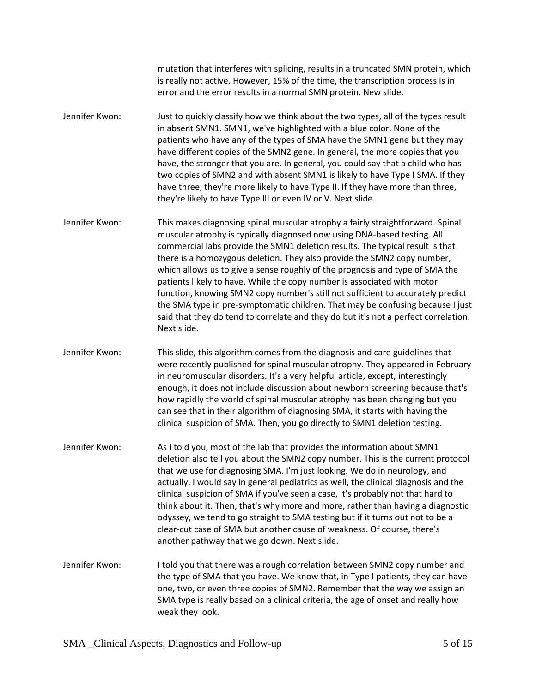mutation that interferes with splicing, results in a truncated SMN protein, which is really not active. However, 15% of the time, the transcription process is in error and the error results in a normal SMN protein. New slide.

Jennifer Kwon: Just to quickly classify how we think about the two types, all of the types result in absent SMN1. SMN1, we've highlighted with a blue color. None of the patients who have any of the types of SMA have the SMN1 gene but they may have different copies of the SMN2 gene. In general, the more copies that you have, the stronger that you are. In general, you could say that a child who has two copies of SMN2 and with absent SMN1 is likely to have Type I SMA. If they have three, they're more likely to have Type II. If they have more than three, they're likely to have Type III or even IV or V. Next slide.

Jennifer Kwon: This makes diagnosing spinal muscular atrophy a fairly straightforward. Spinal muscular atrophy is typically diagnosed now using DNA-based testing. All commercial labs provide the SMN1 deletion results. The typical result is that there is a homozygous deletion. They also provide the SMN2 copy number, which allows us to give a sense roughly of the prognosis and type of SMA the patients likely to have. While the copy number is associated with motor function, knowing SMN2 copy number's still not sufficient to accurately predict the SMA type in pre-symptomatic children. That may be confusing because I just said that they do tend to correlate and they do but it's not a perfect correlation. Next slide.

Jennifer Kwon: This slide, this algorithm comes from the diagnosis and care guidelines that were recently published for spinal muscular atrophy. They appeared in February in neuromuscular disorders. It's a very helpful article, except, interestingly enough, it does not include discussion about newborn screening because that's how rapidly the world of spinal muscular atrophy has been changing but you can see that in their algorithm of diagnosing SMA, it starts with having the clinical suspicion of SMA. Then, you go directly to SMN1 deletion testing.

Jennifer Kwon: As I told you, most of the lab that provides the information about SMN1 deletion also tell you about the SMN2 copy number. This is the current protocol that we use for diagnosing SMA. I'm just looking. We do in neurology, and actually, I would say in general pediatrics as well, the clinical diagnosis and the clinical suspicion of SMA if you've seen a case, it's probably not that hard to think about it. Then, that's why more and more, rather than having a diagnostic odyssey, we tend to go straight to SMA testing but if it turns out not to be a clear-cut case of SMA but another cause of weakness. Of course, there's another pathway that we go down. Next slide.

Jennifer Kwon: I told you that there was a rough correlation between SMN2 copy number and the type of SMA that you have. We know that, in Type I patients, they can have one, two, or even three copies of SMN2. Remember that the way we assign an SMA type is really based on a clinical criteria, the age of onset and really how weak they look.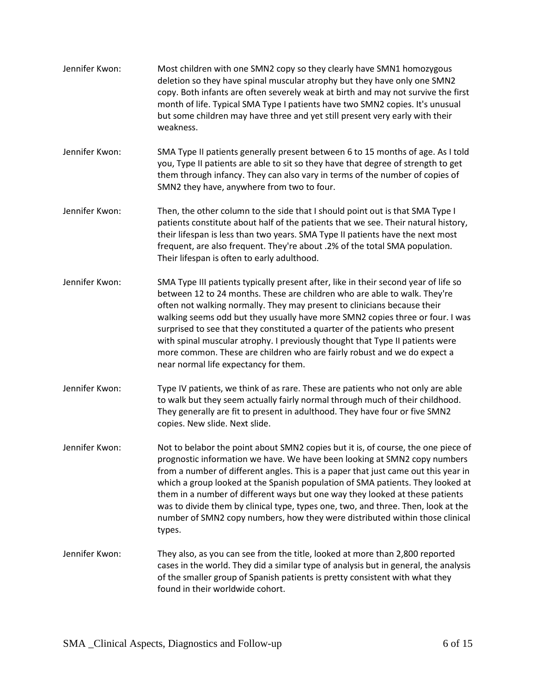Jennifer Kwon: Most children with one SMN2 copy so they clearly have SMN1 homozygous deletion so they have spinal muscular atrophy but they have only one SMN2 copy. Both infants are often severely weak at birth and may not survive the first month of life. Typical SMA Type I patients have two SMN2 copies. It's unusual but some children may have three and yet still present very early with their weakness. Jennifer Kwon: SMA Type II patients generally present between 6 to 15 months of age. As I told you, Type II patients are able to sit so they have that degree of strength to get them through infancy. They can also vary in terms of the number of copies of SMN2 they have, anywhere from two to four. Jennifer Kwon: Then, the other column to the side that I should point out is that SMA Type I patients constitute about half of the patients that we see. Their natural history, their lifespan is less than two years. SMA Type II patients have the next most frequent, are also frequent. They're about .2% of the total SMA population. Their lifespan is often to early adulthood. Jennifer Kwon: SMA Type III patients typically present after, like in their second year of life so between 12 to 24 months. These are children who are able to walk. They're often not walking normally. They may present to clinicians because their walking seems odd but they usually have more SMN2 copies three or four. I was surprised to see that they constituted a quarter of the patients who present with spinal muscular atrophy. I previously thought that Type II patients were more common. These are children who are fairly robust and we do expect a near normal life expectancy for them. Jennifer Kwon: Type IV patients, we think of as rare. These are patients who not only are able to walk but they seem actually fairly normal through much of their childhood. They generally are fit to present in adulthood. They have four or five SMN2 copies. New slide. Next slide. Jennifer Kwon: Not to belabor the point about SMN2 copies but it is, of course, the one piece of prognostic information we have. We have been looking at SMN2 copy numbers from a number of different angles. This is a paper that just came out this year in which a group looked at the Spanish population of SMA patients. They looked at them in a number of different ways but one way they looked at these patients was to divide them by clinical type, types one, two, and three. Then, look at the number of SMN2 copy numbers, how they were distributed within those clinical types. Jennifer Kwon: They also, as you can see from the title, looked at more than 2,800 reported cases in the world. They did a similar type of analysis but in general, the analysis of the smaller group of Spanish patients is pretty consistent with what they found in their worldwide cohort.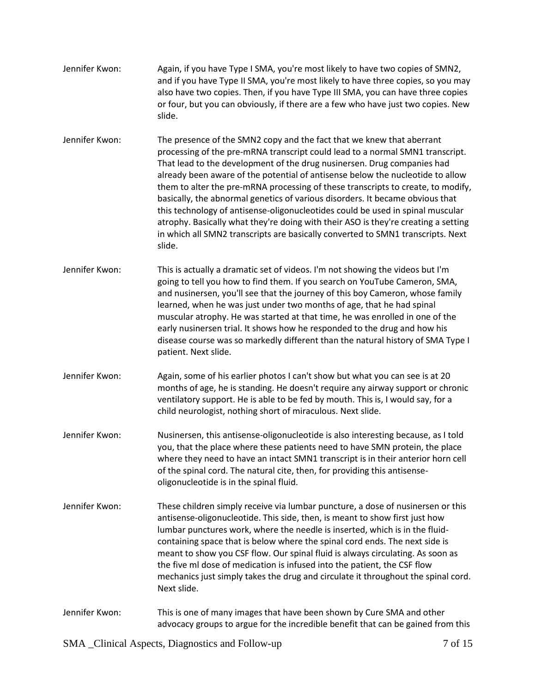| Jennifer Kwon: | Again, if you have Type I SMA, you're most likely to have two copies of SMN2,<br>and if you have Type II SMA, you're most likely to have three copies, so you may<br>also have two copies. Then, if you have Type III SMA, you can have three copies<br>or four, but you can obviously, if there are a few who have just two copies. New<br>slide.                                                                                                                                                                                                                                                                                                                                                                                                            |
|----------------|---------------------------------------------------------------------------------------------------------------------------------------------------------------------------------------------------------------------------------------------------------------------------------------------------------------------------------------------------------------------------------------------------------------------------------------------------------------------------------------------------------------------------------------------------------------------------------------------------------------------------------------------------------------------------------------------------------------------------------------------------------------|
| Jennifer Kwon: | The presence of the SMN2 copy and the fact that we knew that aberrant<br>processing of the pre-mRNA transcript could lead to a normal SMN1 transcript.<br>That lead to the development of the drug nusinersen. Drug companies had<br>already been aware of the potential of antisense below the nucleotide to allow<br>them to alter the pre-mRNA processing of these transcripts to create, to modify,<br>basically, the abnormal genetics of various disorders. It became obvious that<br>this technology of antisense-oligonucleotides could be used in spinal muscular<br>atrophy. Basically what they're doing with their ASO is they're creating a setting<br>in which all SMN2 transcripts are basically converted to SMN1 transcripts. Next<br>slide. |
| Jennifer Kwon: | This is actually a dramatic set of videos. I'm not showing the videos but I'm<br>going to tell you how to find them. If you search on YouTube Cameron, SMA,<br>and nusinersen, you'll see that the journey of this boy Cameron, whose family<br>learned, when he was just under two months of age, that he had spinal<br>muscular atrophy. He was started at that time, he was enrolled in one of the<br>early nusinersen trial. It shows how he responded to the drug and how his<br>disease course was so markedly different than the natural history of SMA Type I<br>patient. Next slide.                                                                                                                                                                 |
| Jennifer Kwon: | Again, some of his earlier photos I can't show but what you can see is at 20<br>months of age, he is standing. He doesn't require any airway support or chronic<br>ventilatory support. He is able to be fed by mouth. This is, I would say, for a<br>child neurologist, nothing short of miraculous. Next slide.                                                                                                                                                                                                                                                                                                                                                                                                                                             |
| Jennifer Kwon: | Nusinersen, this antisense-oligonucleotide is also interesting because, as I told<br>you, that the place where these patients need to have SMN protein, the place<br>where they need to have an intact SMN1 transcript is in their anterior horn cell<br>of the spinal cord. The natural cite, then, for providing this antisense-<br>oligonucleotide is in the spinal fluid.                                                                                                                                                                                                                                                                                                                                                                                 |
| Jennifer Kwon: | These children simply receive via lumbar puncture, a dose of nusinersen or this<br>antisense-oligonucleotide. This side, then, is meant to show first just how<br>lumbar punctures work, where the needle is inserted, which is in the fluid-<br>containing space that is below where the spinal cord ends. The next side is<br>meant to show you CSF flow. Our spinal fluid is always circulating. As soon as<br>the five ml dose of medication is infused into the patient, the CSF flow<br>mechanics just simply takes the drug and circulate it throughout the spinal cord.<br>Next slide.                                                                                                                                                                |
| Jennifer Kwon: | This is one of many images that have been shown by Cure SMA and other<br>advocacy groups to argue for the incredible benefit that can be gained from this                                                                                                                                                                                                                                                                                                                                                                                                                                                                                                                                                                                                     |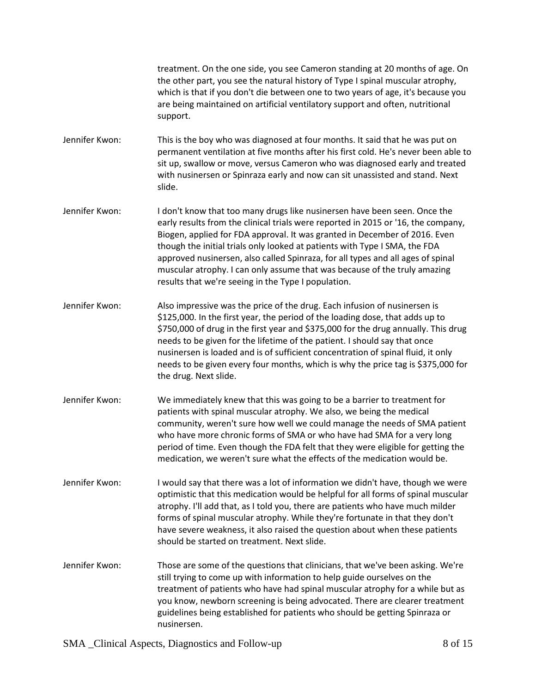treatment. On the one side, you see Cameron standing at 20 months of age. On the other part, you see the natural history of Type I spinal muscular atrophy, which is that if you don't die between one to two years of age, it's because you are being maintained on artificial ventilatory support and often, nutritional support.

Jennifer Kwon: This is the boy who was diagnosed at four months. It said that he was put on permanent ventilation at five months after his first cold. He's never been able to sit up, swallow or move, versus Cameron who was diagnosed early and treated with nusinersen or Spinraza early and now can sit unassisted and stand. Next slide.

- Jennifer Kwon: I don't know that too many drugs like nusinersen have been seen. Once the early results from the clinical trials were reported in 2015 or '16, the company, Biogen, applied for FDA approval. It was granted in December of 2016. Even though the initial trials only looked at patients with Type I SMA, the FDA approved nusinersen, also called Spinraza, for all types and all ages of spinal muscular atrophy. I can only assume that was because of the truly amazing results that we're seeing in the Type I population.
- Jennifer Kwon: Also impressive was the price of the drug. Each infusion of nusinersen is \$125,000. In the first year, the period of the loading dose, that adds up to \$750,000 of drug in the first year and \$375,000 for the drug annually. This drug needs to be given for the lifetime of the patient. I should say that once nusinersen is loaded and is of sufficient concentration of spinal fluid, it only needs to be given every four months, which is why the price tag is \$375,000 for the drug. Next slide.
- Jennifer Kwon: We immediately knew that this was going to be a barrier to treatment for patients with spinal muscular atrophy. We also, we being the medical community, weren't sure how well we could manage the needs of SMA patient who have more chronic forms of SMA or who have had SMA for a very long period of time. Even though the FDA felt that they were eligible for getting the medication, we weren't sure what the effects of the medication would be.
- Jennifer Kwon: I would say that there was a lot of information we didn't have, though we were optimistic that this medication would be helpful for all forms of spinal muscular atrophy. I'll add that, as I told you, there are patients who have much milder forms of spinal muscular atrophy. While they're fortunate in that they don't have severe weakness, it also raised the question about when these patients should be started on treatment. Next slide.
- Jennifer Kwon: Those are some of the questions that clinicians, that we've been asking. We're still trying to come up with information to help guide ourselves on the treatment of patients who have had spinal muscular atrophy for a while but as you know, newborn screening is being advocated. There are clearer treatment guidelines being established for patients who should be getting Spinraza or nusinersen.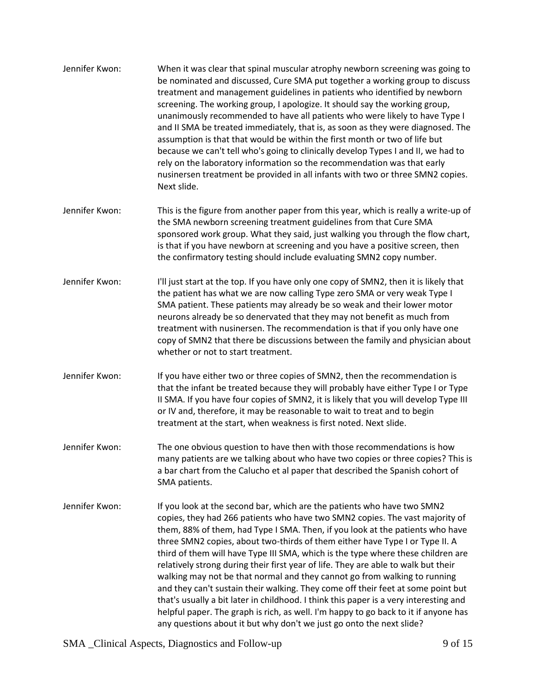| Jennifer Kwon: | When it was clear that spinal muscular atrophy newborn screening was going to<br>be nominated and discussed, Cure SMA put together a working group to discuss<br>treatment and management guidelines in patients who identified by newborn<br>screening. The working group, I apologize. It should say the working group,<br>unanimously recommended to have all patients who were likely to have Type I<br>and II SMA be treated immediately, that is, as soon as they were diagnosed. The<br>assumption is that that would be within the first month or two of life but<br>because we can't tell who's going to clinically develop Types I and II, we had to<br>rely on the laboratory information so the recommendation was that early<br>nusinersen treatment be provided in all infants with two or three SMN2 copies.<br>Next slide.                                                                                  |
|----------------|-----------------------------------------------------------------------------------------------------------------------------------------------------------------------------------------------------------------------------------------------------------------------------------------------------------------------------------------------------------------------------------------------------------------------------------------------------------------------------------------------------------------------------------------------------------------------------------------------------------------------------------------------------------------------------------------------------------------------------------------------------------------------------------------------------------------------------------------------------------------------------------------------------------------------------|
| Jennifer Kwon: | This is the figure from another paper from this year, which is really a write-up of<br>the SMA newborn screening treatment guidelines from that Cure SMA<br>sponsored work group. What they said, just walking you through the flow chart,<br>is that if you have newborn at screening and you have a positive screen, then<br>the confirmatory testing should include evaluating SMN2 copy number.                                                                                                                                                                                                                                                                                                                                                                                                                                                                                                                         |
| Jennifer Kwon: | I'll just start at the top. If you have only one copy of SMN2, then it is likely that<br>the patient has what we are now calling Type zero SMA or very weak Type I<br>SMA patient. These patients may already be so weak and their lower motor<br>neurons already be so denervated that they may not benefit as much from<br>treatment with nusinersen. The recommendation is that if you only have one<br>copy of SMN2 that there be discussions between the family and physician about<br>whether or not to start treatment.                                                                                                                                                                                                                                                                                                                                                                                              |
| Jennifer Kwon: | If you have either two or three copies of SMN2, then the recommendation is<br>that the infant be treated because they will probably have either Type I or Type<br>II SMA. If you have four copies of SMN2, it is likely that you will develop Type III<br>or IV and, therefore, it may be reasonable to wait to treat and to begin<br>treatment at the start, when weakness is first noted. Next slide.                                                                                                                                                                                                                                                                                                                                                                                                                                                                                                                     |
| Jennifer Kwon: | The one obvious question to have then with those recommendations is how<br>many patients are we talking about who have two copies or three copies? This is<br>a bar chart from the Calucho et al paper that described the Spanish cohort of<br>SMA patients.                                                                                                                                                                                                                                                                                                                                                                                                                                                                                                                                                                                                                                                                |
| Jennifer Kwon: | If you look at the second bar, which are the patients who have two SMN2<br>copies, they had 266 patients who have two SMN2 copies. The vast majority of<br>them, 88% of them, had Type I SMA. Then, if you look at the patients who have<br>three SMN2 copies, about two-thirds of them either have Type I or Type II. A<br>third of them will have Type III SMA, which is the type where these children are<br>relatively strong during their first year of life. They are able to walk but their<br>walking may not be that normal and they cannot go from walking to running<br>and they can't sustain their walking. They come off their feet at some point but<br>that's usually a bit later in childhood. I think this paper is a very interesting and<br>helpful paper. The graph is rich, as well. I'm happy to go back to it if anyone has<br>any questions about it but why don't we just go onto the next slide? |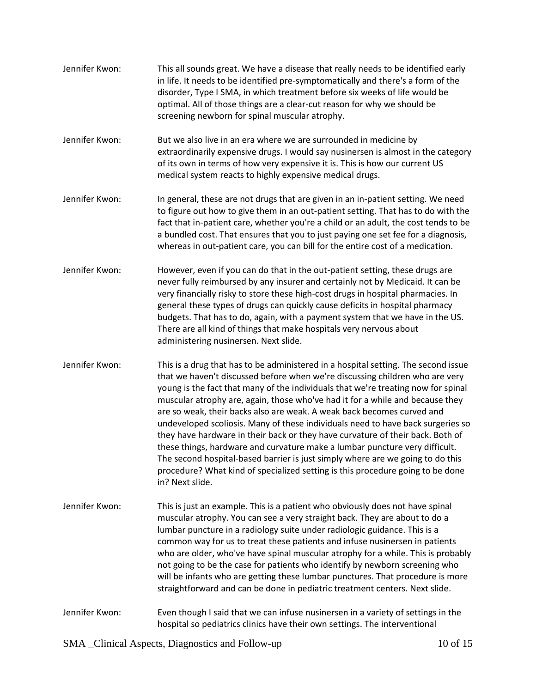| Jennifer Kwon: | This all sounds great. We have a disease that really needs to be identified early<br>in life. It needs to be identified pre-symptomatically and there's a form of the<br>disorder, Type I SMA, in which treatment before six weeks of life would be<br>optimal. All of those things are a clear-cut reason for why we should be<br>screening newborn for spinal muscular atrophy.                                                                                                                                                                                                                                                                                                                                                                                                                                                                             |
|----------------|---------------------------------------------------------------------------------------------------------------------------------------------------------------------------------------------------------------------------------------------------------------------------------------------------------------------------------------------------------------------------------------------------------------------------------------------------------------------------------------------------------------------------------------------------------------------------------------------------------------------------------------------------------------------------------------------------------------------------------------------------------------------------------------------------------------------------------------------------------------|
| Jennifer Kwon: | But we also live in an era where we are surrounded in medicine by<br>extraordinarily expensive drugs. I would say nusinersen is almost in the category<br>of its own in terms of how very expensive it is. This is how our current US<br>medical system reacts to highly expensive medical drugs.                                                                                                                                                                                                                                                                                                                                                                                                                                                                                                                                                             |
| Jennifer Kwon: | In general, these are not drugs that are given in an in-patient setting. We need<br>to figure out how to give them in an out-patient setting. That has to do with the<br>fact that in-patient care, whether you're a child or an adult, the cost tends to be<br>a bundled cost. That ensures that you to just paying one set fee for a diagnosis,<br>whereas in out-patient care, you can bill for the entire cost of a medication.                                                                                                                                                                                                                                                                                                                                                                                                                           |
| Jennifer Kwon: | However, even if you can do that in the out-patient setting, these drugs are<br>never fully reimbursed by any insurer and certainly not by Medicaid. It can be<br>very financially risky to store these high-cost drugs in hospital pharmacies. In<br>general these types of drugs can quickly cause deficits in hospital pharmacy<br>budgets. That has to do, again, with a payment system that we have in the US.<br>There are all kind of things that make hospitals very nervous about<br>administering nusinersen. Next slide.                                                                                                                                                                                                                                                                                                                           |
| Jennifer Kwon: | This is a drug that has to be administered in a hospital setting. The second issue<br>that we haven't discussed before when we're discussing children who are very<br>young is the fact that many of the individuals that we're treating now for spinal<br>muscular atrophy are, again, those who've had it for a while and because they<br>are so weak, their backs also are weak. A weak back becomes curved and<br>undeveloped scoliosis. Many of these individuals need to have back surgeries so<br>they have hardware in their back or they have curvature of their back. Both of<br>these things, hardware and curvature make a lumbar puncture very difficult.<br>The second hospital-based barrier is just simply where are we going to do this<br>procedure? What kind of specialized setting is this procedure going to be done<br>in? Next slide. |
| Jennifer Kwon: | This is just an example. This is a patient who obviously does not have spinal<br>muscular atrophy. You can see a very straight back. They are about to do a<br>lumbar puncture in a radiology suite under radiologic guidance. This is a<br>common way for us to treat these patients and infuse nusinersen in patients<br>who are older, who've have spinal muscular atrophy for a while. This is probably<br>not going to be the case for patients who identify by newborn screening who<br>will be infants who are getting these lumbar punctures. That procedure is more<br>straightforward and can be done in pediatric treatment centers. Next slide.                                                                                                                                                                                                   |
| Jennifer Kwon: | Even though I said that we can infuse nusinersen in a variety of settings in the<br>hospital so pediatrics clinics have their own settings. The interventional                                                                                                                                                                                                                                                                                                                                                                                                                                                                                                                                                                                                                                                                                                |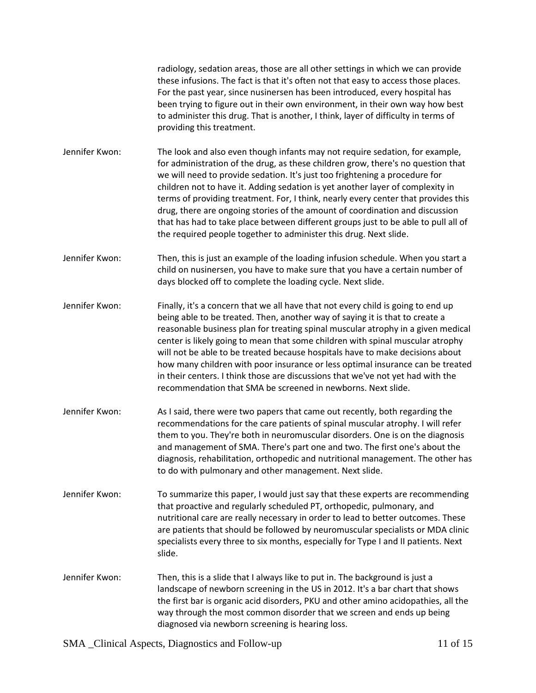radiology, sedation areas, those are all other settings in which we can provide these infusions. The fact is that it's often not that easy to access those places. For the past year, since nusinersen has been introduced, every hospital has been trying to figure out in their own environment, in their own way how best to administer this drug. That is another, I think, layer of difficulty in terms of providing this treatment.

- Jennifer Kwon: The look and also even though infants may not require sedation, for example, for administration of the drug, as these children grow, there's no question that we will need to provide sedation. It's just too frightening a procedure for children not to have it. Adding sedation is yet another layer of complexity in terms of providing treatment. For, I think, nearly every center that provides this drug, there are ongoing stories of the amount of coordination and discussion that has had to take place between different groups just to be able to pull all of the required people together to administer this drug. Next slide.
- Jennifer Kwon: Then, this is just an example of the loading infusion schedule. When you start a child on nusinersen, you have to make sure that you have a certain number of days blocked off to complete the loading cycle. Next slide.
- Jennifer Kwon: Finally, it's a concern that we all have that not every child is going to end up being able to be treated. Then, another way of saying it is that to create a reasonable business plan for treating spinal muscular atrophy in a given medical center is likely going to mean that some children with spinal muscular atrophy will not be able to be treated because hospitals have to make decisions about how many children with poor insurance or less optimal insurance can be treated in their centers. I think those are discussions that we've not yet had with the recommendation that SMA be screened in newborns. Next slide.
- Jennifer Kwon: As I said, there were two papers that came out recently, both regarding the recommendations for the care patients of spinal muscular atrophy. I will refer them to you. They're both in neuromuscular disorders. One is on the diagnosis and management of SMA. There's part one and two. The first one's about the diagnosis, rehabilitation, orthopedic and nutritional management. The other has to do with pulmonary and other management. Next slide.
- Jennifer Kwon: To summarize this paper, I would just say that these experts are recommending that proactive and regularly scheduled PT, orthopedic, pulmonary, and nutritional care are really necessary in order to lead to better outcomes. These are patients that should be followed by neuromuscular specialists or MDA clinic specialists every three to six months, especially for Type I and II patients. Next slide.
- Jennifer Kwon: Then, this is a slide that I always like to put in. The background is just a landscape of newborn screening in the US in 2012. It's a bar chart that shows the first bar is organic acid disorders, PKU and other amino acidopathies, all the way through the most common disorder that we screen and ends up being diagnosed via newborn screening is hearing loss.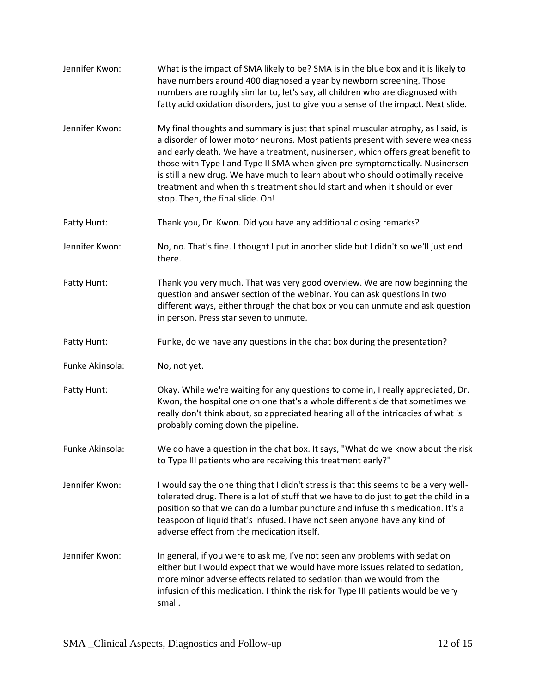| Jennifer Kwon:  | What is the impact of SMA likely to be? SMA is in the blue box and it is likely to<br>have numbers around 400 diagnosed a year by newborn screening. Those<br>numbers are roughly similar to, let's say, all children who are diagnosed with<br>fatty acid oxidation disorders, just to give you a sense of the impact. Next slide.                                                                                                                                                                                                     |
|-----------------|-----------------------------------------------------------------------------------------------------------------------------------------------------------------------------------------------------------------------------------------------------------------------------------------------------------------------------------------------------------------------------------------------------------------------------------------------------------------------------------------------------------------------------------------|
| Jennifer Kwon:  | My final thoughts and summary is just that spinal muscular atrophy, as I said, is<br>a disorder of lower motor neurons. Most patients present with severe weakness<br>and early death. We have a treatment, nusinersen, which offers great benefit to<br>those with Type I and Type II SMA when given pre-symptomatically. Nusinersen<br>is still a new drug. We have much to learn about who should optimally receive<br>treatment and when this treatment should start and when it should or ever<br>stop. Then, the final slide. Oh! |
| Patty Hunt:     | Thank you, Dr. Kwon. Did you have any additional closing remarks?                                                                                                                                                                                                                                                                                                                                                                                                                                                                       |
| Jennifer Kwon:  | No, no. That's fine. I thought I put in another slide but I didn't so we'll just end<br>there.                                                                                                                                                                                                                                                                                                                                                                                                                                          |
| Patty Hunt:     | Thank you very much. That was very good overview. We are now beginning the<br>question and answer section of the webinar. You can ask questions in two<br>different ways, either through the chat box or you can unmute and ask question<br>in person. Press star seven to unmute.                                                                                                                                                                                                                                                      |
| Patty Hunt:     | Funke, do we have any questions in the chat box during the presentation?                                                                                                                                                                                                                                                                                                                                                                                                                                                                |
| Funke Akinsola: | No, not yet.                                                                                                                                                                                                                                                                                                                                                                                                                                                                                                                            |
| Patty Hunt:     | Okay. While we're waiting for any questions to come in, I really appreciated, Dr.<br>Kwon, the hospital one on one that's a whole different side that sometimes we<br>really don't think about, so appreciated hearing all of the intricacies of what is<br>probably coming down the pipeline.                                                                                                                                                                                                                                          |
| Funke Akinsola: | We do have a question in the chat box. It says, "What do we know about the risk<br>to Type III patients who are receiving this treatment early?"                                                                                                                                                                                                                                                                                                                                                                                        |
| Jennifer Kwon:  | I would say the one thing that I didn't stress is that this seems to be a very well-<br>tolerated drug. There is a lot of stuff that we have to do just to get the child in a<br>position so that we can do a lumbar puncture and infuse this medication. It's a<br>teaspoon of liquid that's infused. I have not seen anyone have any kind of<br>adverse effect from the medication itself.                                                                                                                                            |
| Jennifer Kwon:  | In general, if you were to ask me, I've not seen any problems with sedation<br>either but I would expect that we would have more issues related to sedation,<br>more minor adverse effects related to sedation than we would from the<br>infusion of this medication. I think the risk for Type III patients would be very<br>small.                                                                                                                                                                                                    |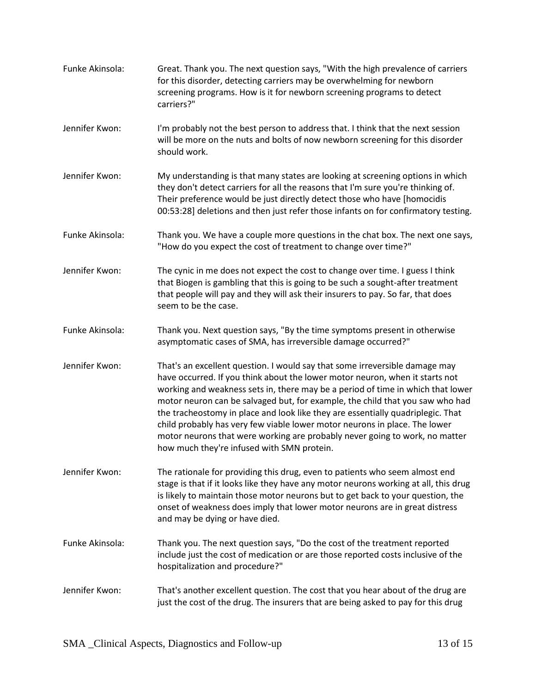| Funke Akinsola: | Great. Thank you. The next question says, "With the high prevalence of carriers<br>for this disorder, detecting carriers may be overwhelming for newborn<br>screening programs. How is it for newborn screening programs to detect<br>carriers?"                                                                                                                                                                                                                                                                                                                                                                              |
|-----------------|-------------------------------------------------------------------------------------------------------------------------------------------------------------------------------------------------------------------------------------------------------------------------------------------------------------------------------------------------------------------------------------------------------------------------------------------------------------------------------------------------------------------------------------------------------------------------------------------------------------------------------|
| Jennifer Kwon:  | I'm probably not the best person to address that. I think that the next session<br>will be more on the nuts and bolts of now newborn screening for this disorder<br>should work.                                                                                                                                                                                                                                                                                                                                                                                                                                              |
| Jennifer Kwon:  | My understanding is that many states are looking at screening options in which<br>they don't detect carriers for all the reasons that I'm sure you're thinking of.<br>Their preference would be just directly detect those who have [homocidis<br>00:53:28] deletions and then just refer those infants on for confirmatory testing.                                                                                                                                                                                                                                                                                          |
| Funke Akinsola: | Thank you. We have a couple more questions in the chat box. The next one says,<br>"How do you expect the cost of treatment to change over time?"                                                                                                                                                                                                                                                                                                                                                                                                                                                                              |
| Jennifer Kwon:  | The cynic in me does not expect the cost to change over time. I guess I think<br>that Biogen is gambling that this is going to be such a sought-after treatment<br>that people will pay and they will ask their insurers to pay. So far, that does<br>seem to be the case.                                                                                                                                                                                                                                                                                                                                                    |
| Funke Akinsola: | Thank you. Next question says, "By the time symptoms present in otherwise<br>asymptomatic cases of SMA, has irreversible damage occurred?"                                                                                                                                                                                                                                                                                                                                                                                                                                                                                    |
| Jennifer Kwon:  | That's an excellent question. I would say that some irreversible damage may<br>have occurred. If you think about the lower motor neuron, when it starts not<br>working and weakness sets in, there may be a period of time in which that lower<br>motor neuron can be salvaged but, for example, the child that you saw who had<br>the tracheostomy in place and look like they are essentially quadriplegic. That<br>child probably has very few viable lower motor neurons in place. The lower<br>motor neurons that were working are probably never going to work, no matter<br>how much they're infused with SMN protein. |
| Jennifer Kwon:  | The rationale for providing this drug, even to patients who seem almost end<br>stage is that if it looks like they have any motor neurons working at all, this drug<br>is likely to maintain those motor neurons but to get back to your question, the<br>onset of weakness does imply that lower motor neurons are in great distress<br>and may be dying or have died.                                                                                                                                                                                                                                                       |
| Funke Akinsola: | Thank you. The next question says, "Do the cost of the treatment reported<br>include just the cost of medication or are those reported costs inclusive of the<br>hospitalization and procedure?"                                                                                                                                                                                                                                                                                                                                                                                                                              |
| Jennifer Kwon:  | That's another excellent question. The cost that you hear about of the drug are<br>just the cost of the drug. The insurers that are being asked to pay for this drug                                                                                                                                                                                                                                                                                                                                                                                                                                                          |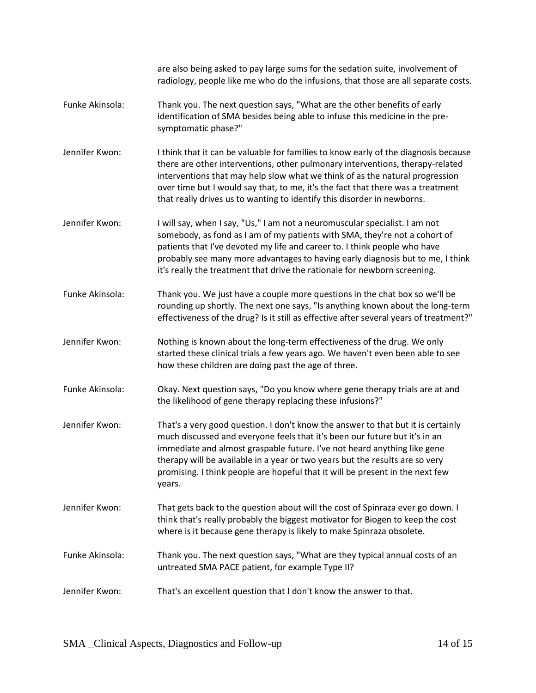|                 | are also being asked to pay large sums for the sedation suite, involvement of<br>radiology, people like me who do the infusions, that those are all separate costs.                                                                                                                                                                                                                                                   |
|-----------------|-----------------------------------------------------------------------------------------------------------------------------------------------------------------------------------------------------------------------------------------------------------------------------------------------------------------------------------------------------------------------------------------------------------------------|
| Funke Akinsola: | Thank you. The next question says, "What are the other benefits of early<br>identification of SMA besides being able to infuse this medicine in the pre-<br>symptomatic phase?"                                                                                                                                                                                                                                       |
| Jennifer Kwon:  | I think that it can be valuable for families to know early of the diagnosis because<br>there are other interventions, other pulmonary interventions, therapy-related<br>interventions that may help slow what we think of as the natural progression<br>over time but I would say that, to me, it's the fact that there was a treatment<br>that really drives us to wanting to identify this disorder in newborns.    |
| Jennifer Kwon:  | I will say, when I say, "Us," I am not a neuromuscular specialist. I am not<br>somebody, as fond as I am of my patients with SMA, they're not a cohort of<br>patients that I've devoted my life and career to. I think people who have<br>probably see many more advantages to having early diagnosis but to me, I think<br>it's really the treatment that drive the rationale for newborn screening.                 |
| Funke Akinsola: | Thank you. We just have a couple more questions in the chat box so we'll be<br>rounding up shortly. The next one says, "Is anything known about the long-term<br>effectiveness of the drug? Is it still as effective after several years of treatment?"                                                                                                                                                               |
| Jennifer Kwon:  | Nothing is known about the long-term effectiveness of the drug. We only<br>started these clinical trials a few years ago. We haven't even been able to see<br>how these children are doing past the age of three.                                                                                                                                                                                                     |
| Funke Akinsola: | Okay. Next question says, "Do you know where gene therapy trials are at and<br>the likelihood of gene therapy replacing these infusions?"                                                                                                                                                                                                                                                                             |
| Jennifer Kwon:  | That's a very good question. I don't know the answer to that but it is certainly<br>much discussed and everyone feels that it's been our future but it's in an<br>immediate and almost graspable future. I've not heard anything like gene<br>therapy will be available in a year or two years but the results are so very<br>promising. I think people are hopeful that it will be present in the next few<br>years. |
| Jennifer Kwon:  | That gets back to the question about will the cost of Spinraza ever go down. I<br>think that's really probably the biggest motivator for Biogen to keep the cost<br>where is it because gene therapy is likely to make Spinraza obsolete.                                                                                                                                                                             |
| Funke Akinsola: | Thank you. The next question says, "What are they typical annual costs of an<br>untreated SMA PACE patient, for example Type II?                                                                                                                                                                                                                                                                                      |
| Jennifer Kwon:  | That's an excellent question that I don't know the answer to that.                                                                                                                                                                                                                                                                                                                                                    |